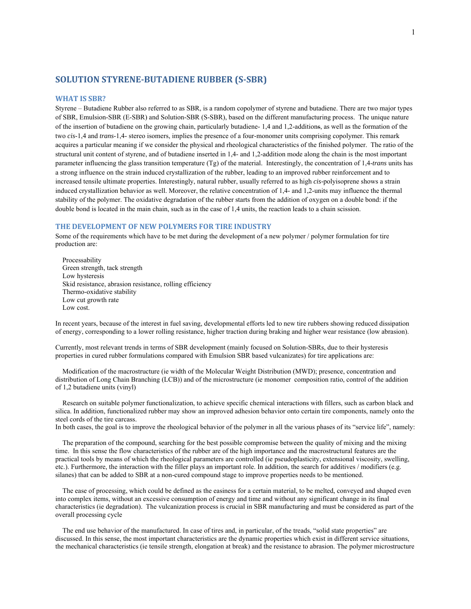# **SOLUTION STYRENE‐BUTADIENE RUBBER (S‐SBR)**

#### **WHAT IS SBR?**

Styrene – Butadiene Rubber also referred to as SBR, is a random copolymer of styrene and butadiene. There are two major types of SBR, Emulsion-SBR (E-SBR) and Solution-SBR (S-SBR), based on the different manufacturing process. The unique nature of the insertion of butadiene on the growing chain, particularly butadiene- 1,4 and 1,2-additions, as well as the formation of the two *cis*-1,4 and *trans*-1,4- stereo isomers, implies the presence of a four-monomer units comprising copolymer. This remark acquires a particular meaning if we consider the physical and rheological characteristics of the finished polymer. The ratio of the structural unit content of styrene, and of butadiene inserted in 1,4- and 1,2-addition mode along the chain is the most important parameter influencing the glass transition temperature (Tg) of the material. Interestingly, the concentration of 1,4-*trans* units has a strong influence on the strain induced crystallization of the rubber, leading to an improved rubber reinforcement and to increased tensile ultimate properties. Interestingly, natural rubber, usually referred to as high *cis-*polyisoprene shows a strain induced crystallization behavior as well. Moreover, the relative concentration of 1,4- and 1,2-units may influence the thermal stability of the polymer. The oxidative degradation of the rubber starts from the addition of oxygen on a double bond: if the double bond is located in the main chain, such as in the case of 1,4 units, the reaction leads to a chain scission.

### **THE DEVELOPMENT OF NEW POLYMERS FOR TIRE INDUSTRY**

Some of the requirements which have to be met during the development of a new polymer / polymer formulation for tire production are:

 Processability Green strength, tack strength Low hysteresis Skid resistance, abrasion resistance, rolling efficiency Thermo-oxidative stability Low cut growth rate Low cost.

In recent years, because of the interest in fuel saving, developmental efforts led to new tire rubbers showing reduced dissipation of energy, corresponding to a lower rolling resistance, higher traction during braking and higher wear resistance (low abrasion).

Currently, most relevant trends in terms of SBR development (mainly focused on Solution-SBRs, due to their hysteresis properties in cured rubber formulations compared with Emulsion SBR based vulcanizates) for tire applications are:

 Modification of the macrostructure (ie width of the Molecular Weight Distribution (MWD); presence, concentration and distribution of Long Chain Branching (LCB)) and of the microstructure (ie monomer composition ratio, control of the addition of 1,2 butadiene units (vinyl)

 Research on suitable polymer functionalization, to achieve specific chemical interactions with fillers, such as carbon black and silica. In addition, functionalized rubber may show an improved adhesion behavior onto certain tire components, namely onto the steel cords of the tire carcass.

In both cases, the goal is to improve the rheological behavior of the polymer in all the various phases of its "service life", namely:

 The preparation of the compound, searching for the best possible compromise between the quality of mixing and the mixing time. In this sense the flow characteristics of the rubber are of the high importance and the macrostructural features are the practical tools by means of which the rheological parameters are controlled (ie pseudoplasticity, extensional viscosity, swelling, etc.). Furthermore, the interaction with the filler plays an important role. In addition, the search for additives / modifiers (e.g. silanes) that can be added to SBR at a non-cured compound stage to improve properties needs to be mentioned.

 The ease of processing, which could be defined as the easiness for a certain material, to be melted, conveyed and shaped even into complex items, without an excessive consumption of energy and time and without any significant change in its final characteristics (ie degradation). The vulcanization process is crucial in SBR manufacturing and must be considered as part of the overall processing cycle

 The end use behavior of the manufactured. In case of tires and, in particular, of the treads, "solid state properties" are discussed. In this sense, the most important characteristics are the dynamic properties which exist in different service situations, the mechanical characteristics (ie tensile strength, elongation at break) and the resistance to abrasion. The polymer microstructure